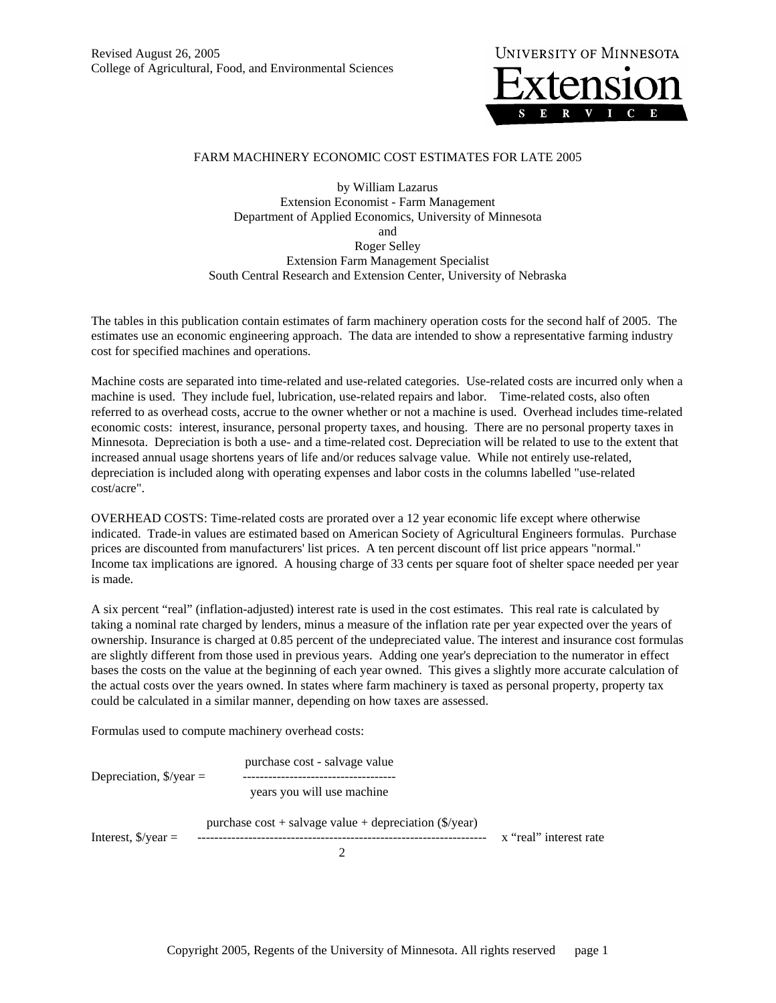

## FARM MACHINERY ECONOMIC COST ESTIMATES FOR LATE 2005

by William Lazarus Extension Economist - Farm Management Department of Applied Economics, University of Minnesota and Roger Selley Extension Farm Management Specialist South Central Research and Extension Center, University of Nebraska

The tables in this publication contain estimates of farm machinery operation costs for the second half of 2005. The estimates use an economic engineering approach. The data are intended to show a representative farming industry cost for specified machines and operations.

Machine costs are separated into time-related and use-related categories. Use-related costs are incurred only when a machine is used. They include fuel, lubrication, use-related repairs and labor. Time-related costs, also often referred to as overhead costs, accrue to the owner whether or not a machine is used. Overhead includes time-related economic costs: interest, insurance, personal property taxes, and housing. There are no personal property taxes in Minnesota. Depreciation is both a use- and a time-related cost. Depreciation will be related to use to the extent that increased annual usage shortens years of life and/or reduces salvage value. While not entirely use-related, depreciation is included along with operating expenses and labor costs in the columns labelled "use-related cost/acre".

OVERHEAD COSTS: Time-related costs are prorated over a 12 year economic life except where otherwise indicated. Trade-in values are estimated based on American Society of Agricultural Engineers formulas. Purchase prices are discounted from manufacturers' list prices. A ten percent discount off list price appears "normal." Income tax implications are ignored. A housing charge of 33 cents per square foot of shelter space needed per year is made.

A six percent "real" (inflation-adjusted) interest rate is used in the cost estimates. This real rate is calculated by taking a nominal rate charged by lenders, minus a measure of the inflation rate per year expected over the years of ownership. Insurance is charged at 0.85 percent of the undepreciated value. The interest and insurance cost formulas are slightly different from those used in previous years. Adding one year's depreciation to the numerator in effect bases the costs on the value at the beginning of each year owned. This gives a slightly more accurate calculation of the actual costs over the years owned. In states where farm machinery is taxed as personal property, property tax could be calculated in a similar manner, depending on how taxes are assessed.

Formulas used to compute machinery overhead costs:

| Depreciation, $\sqrt{s}/\sqrt{var} =$ | purchase cost - salvage value                                          |                        |
|---------------------------------------|------------------------------------------------------------------------|------------------------|
|                                       | years you will use machine                                             |                        |
| Interest, $\sqrt{s}$ /year =          | purchase $cost + salvage value + depreciation (\frac{\sqrt{6}}{year})$ | x "real" interest rate |
|                                       |                                                                        |                        |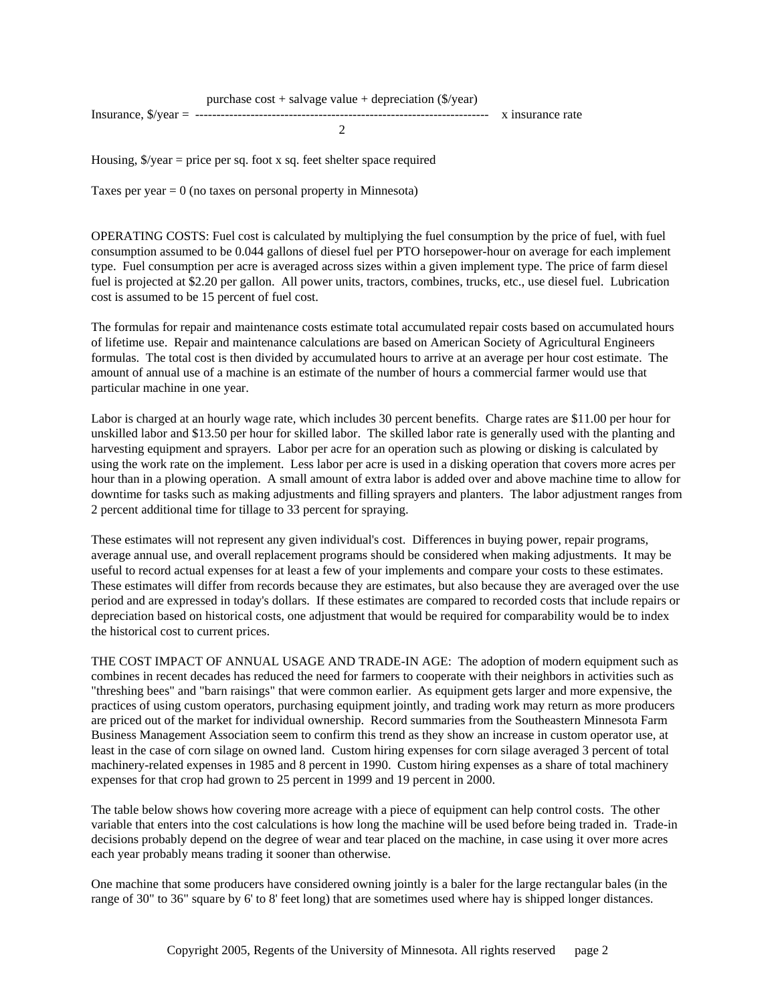Housing,  $\sqrt[6]{\sqrt{2}}$  /year = price per sq. foot x sq. feet shelter space required

Taxes per year  $= 0$  (no taxes on personal property in Minnesota)

OPERATING COSTS: Fuel cost is calculated by multiplying the fuel consumption by the price of fuel, with fuel consumption assumed to be 0.044 gallons of diesel fuel per PTO horsepower-hour on average for each implement type. Fuel consumption per acre is averaged across sizes within a given implement type. The price of farm diesel fuel is projected at \$2.20 per gallon. All power units, tractors, combines, trucks, etc., use diesel fuel. Lubrication cost is assumed to be 15 percent of fuel cost.

The formulas for repair and maintenance costs estimate total accumulated repair costs based on accumulated hours of lifetime use. Repair and maintenance calculations are based on American Society of Agricultural Engineers formulas. The total cost is then divided by accumulated hours to arrive at an average per hour cost estimate. The amount of annual use of a machine is an estimate of the number of hours a commercial farmer would use that particular machine in one year.

Labor is charged at an hourly wage rate, which includes 30 percent benefits. Charge rates are \$11.00 per hour for unskilled labor and \$13.50 per hour for skilled labor. The skilled labor rate is generally used with the planting and harvesting equipment and sprayers. Labor per acre for an operation such as plowing or disking is calculated by using the work rate on the implement. Less labor per acre is used in a disking operation that covers more acres per hour than in a plowing operation. A small amount of extra labor is added over and above machine time to allow for downtime for tasks such as making adjustments and filling sprayers and planters. The labor adjustment ranges from 2 percent additional time for tillage to 33 percent for spraying.

These estimates will not represent any given individual's cost. Differences in buying power, repair programs, average annual use, and overall replacement programs should be considered when making adjustments. It may be useful to record actual expenses for at least a few of your implements and compare your costs to these estimates. These estimates will differ from records because they are estimates, but also because they are averaged over the use period and are expressed in today's dollars. If these estimates are compared to recorded costs that include repairs or depreciation based on historical costs, one adjustment that would be required for comparability would be to index the historical cost to current prices.

THE COST IMPACT OF ANNUAL USAGE AND TRADE-IN AGE: The adoption of modern equipment such as combines in recent decades has reduced the need for farmers to cooperate with their neighbors in activities such as "threshing bees" and "barn raisings" that were common earlier. As equipment gets larger and more expensive, the practices of using custom operators, purchasing equipment jointly, and trading work may return as more producers are priced out of the market for individual ownership. Record summaries from the Southeastern Minnesota Farm Business Management Association seem to confirm this trend as they show an increase in custom operator use, at least in the case of corn silage on owned land. Custom hiring expenses for corn silage averaged 3 percent of total machinery-related expenses in 1985 and 8 percent in 1990. Custom hiring expenses as a share of total machinery expenses for that crop had grown to 25 percent in 1999 and 19 percent in 2000.

The table below shows how covering more acreage with a piece of equipment can help control costs. The other variable that enters into the cost calculations is how long the machine will be used before being traded in. Trade-in decisions probably depend on the degree of wear and tear placed on the machine, in case using it over more acres each year probably means trading it sooner than otherwise.

One machine that some producers have considered owning jointly is a baler for the large rectangular bales (in the range of 30" to 36" square by 6' to 8' feet long) that are sometimes used where hay is shipped longer distances.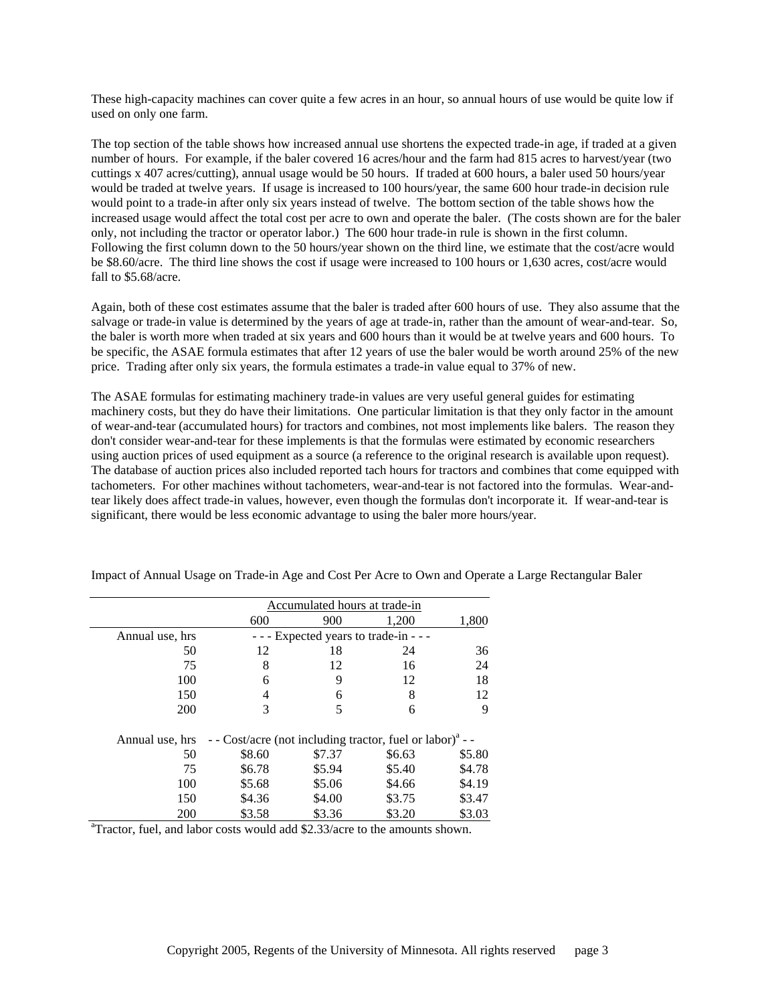These high-capacity machines can cover quite a few acres in an hour, so annual hours of use would be quite low if used on only one farm.

The top section of the table shows how increased annual use shortens the expected trade-in age, if traded at a given number of hours. For example, if the baler covered 16 acres/hour and the farm had 815 acres to harvest/year (two cuttings x 407 acres/cutting), annual usage would be 50 hours. If traded at 600 hours, a baler used 50 hours/year would be traded at twelve years. If usage is increased to 100 hours/year, the same 600 hour trade-in decision rule would point to a trade-in after only six years instead of twelve. The bottom section of the table shows how the increased usage would affect the total cost per acre to own and operate the baler. (The costs shown are for the baler only, not including the tractor or operator labor.) The 600 hour trade-in rule is shown in the first column. Following the first column down to the 50 hours/year shown on the third line, we estimate that the cost/acre would be \$8.60/acre. The third line shows the cost if usage were increased to 100 hours or 1,630 acres, cost/acre would fall to \$5.68/acre.

Again, both of these cost estimates assume that the baler is traded after 600 hours of use. They also assume that the salvage or trade-in value is determined by the years of age at trade-in, rather than the amount of wear-and-tear. So, the baler is worth more when traded at six years and 600 hours than it would be at twelve years and 600 hours. To be specific, the ASAE formula estimates that after 12 years of use the baler would be worth around 25% of the new price. Trading after only six years, the formula estimates a trade-in value equal to 37% of new.

The ASAE formulas for estimating machinery trade-in values are very useful general guides for estimating machinery costs, but they do have their limitations. One particular limitation is that they only factor in the amount of wear-and-tear (accumulated hours) for tractors and combines, not most implements like balers. The reason they don't consider wear-and-tear for these implements is that the formulas were estimated by economic researchers using auction prices of used equipment as a source (a reference to the original research is available upon request). The database of auction prices also included reported tach hours for tractors and combines that come equipped with tachometers. For other machines without tachometers, wear-and-tear is not factored into the formulas. Wear-andtear likely does affect trade-in values, however, even though the formulas don't incorporate it. If wear-and-tear is significant, there would be less economic advantage to using the baler more hours/year.

|                                                                                         |        | Accumulated hours at trade-in |                                                                       |        |  |  |  |  |  |  |  |  |  |
|-----------------------------------------------------------------------------------------|--------|-------------------------------|-----------------------------------------------------------------------|--------|--|--|--|--|--|--|--|--|--|
|                                                                                         | 600    | 900                           | 1,200                                                                 | 1,800  |  |  |  |  |  |  |  |  |  |
| Annual use, hrs                                                                         |        |                               | Expected years to trade-in - - -                                      |        |  |  |  |  |  |  |  |  |  |
| 50                                                                                      | 12     | 18                            | 24                                                                    | 36     |  |  |  |  |  |  |  |  |  |
| 75                                                                                      | 8      | 12                            | 16                                                                    | 24     |  |  |  |  |  |  |  |  |  |
| 100                                                                                     | 6      | 9                             | 12                                                                    | 18     |  |  |  |  |  |  |  |  |  |
| 150                                                                                     | 4      | 6                             | 8                                                                     | 12     |  |  |  |  |  |  |  |  |  |
| 200                                                                                     | 3      | 5                             | 6                                                                     | 9      |  |  |  |  |  |  |  |  |  |
| Annual use, hrs                                                                         |        |                               | - - Cost/acre (not including tractor, fuel or labor) <sup>a</sup> - - |        |  |  |  |  |  |  |  |  |  |
| 50                                                                                      | \$8.60 | \$7.37                        | \$6.63                                                                | \$5.80 |  |  |  |  |  |  |  |  |  |
| 75                                                                                      | \$6.78 | \$5.94                        | \$5.40                                                                | \$4.78 |  |  |  |  |  |  |  |  |  |
| 100                                                                                     | \$5.68 | \$5.06                        | \$4.66                                                                | \$4.19 |  |  |  |  |  |  |  |  |  |
| 150                                                                                     | \$4.36 | \$4.00                        | \$3.75                                                                | \$3.47 |  |  |  |  |  |  |  |  |  |
| 200                                                                                     | \$3.58 | \$3.36                        | \$3.20                                                                | \$3.03 |  |  |  |  |  |  |  |  |  |
| <sup>a</sup> Tractor, fuel, and labor costs would add \$2.33/acre to the amounts shown. |        |                               |                                                                       |        |  |  |  |  |  |  |  |  |  |

Impact of Annual Usage on Trade-in Age and Cost Per Acre to Own and Operate a Large Rectangular Baler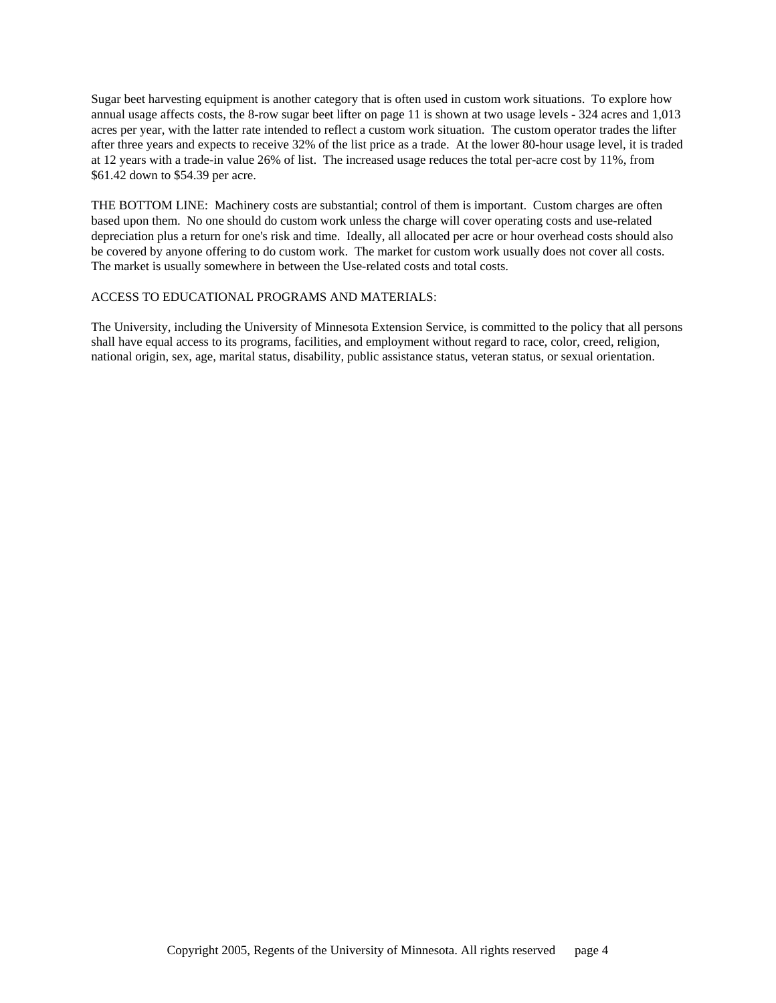Sugar beet harvesting equipment is another category that is often used in custom work situations. To explore how annual usage affects costs, the 8-row sugar beet lifter on page 11 is shown at two usage levels - 324 acres and 1,013 acres per year, with the latter rate intended to reflect a custom work situation. The custom operator trades the lifter after three years and expects to receive 32% of the list price as a trade. At the lower 80-hour usage level, it is traded at 12 years with a trade-in value 26% of list. The increased usage reduces the total per-acre cost by 11%, from \$61.42 down to \$54.39 per acre.

THE BOTTOM LINE: Machinery costs are substantial; control of them is important. Custom charges are often based upon them. No one should do custom work unless the charge will cover operating costs and use-related depreciation plus a return for one's risk and time. Ideally, all allocated per acre or hour overhead costs should also be covered by anyone offering to do custom work. The market for custom work usually does not cover all costs. The market is usually somewhere in between the Use-related costs and total costs.

## ACCESS TO EDUCATIONAL PROGRAMS AND MATERIALS:

The University, including the University of Minnesota Extension Service, is committed to the policy that all persons shall have equal access to its programs, facilities, and employment without regard to race, color, creed, religion, national origin, sex, age, marital status, disability, public assistance status, veteran status, or sexual orientation.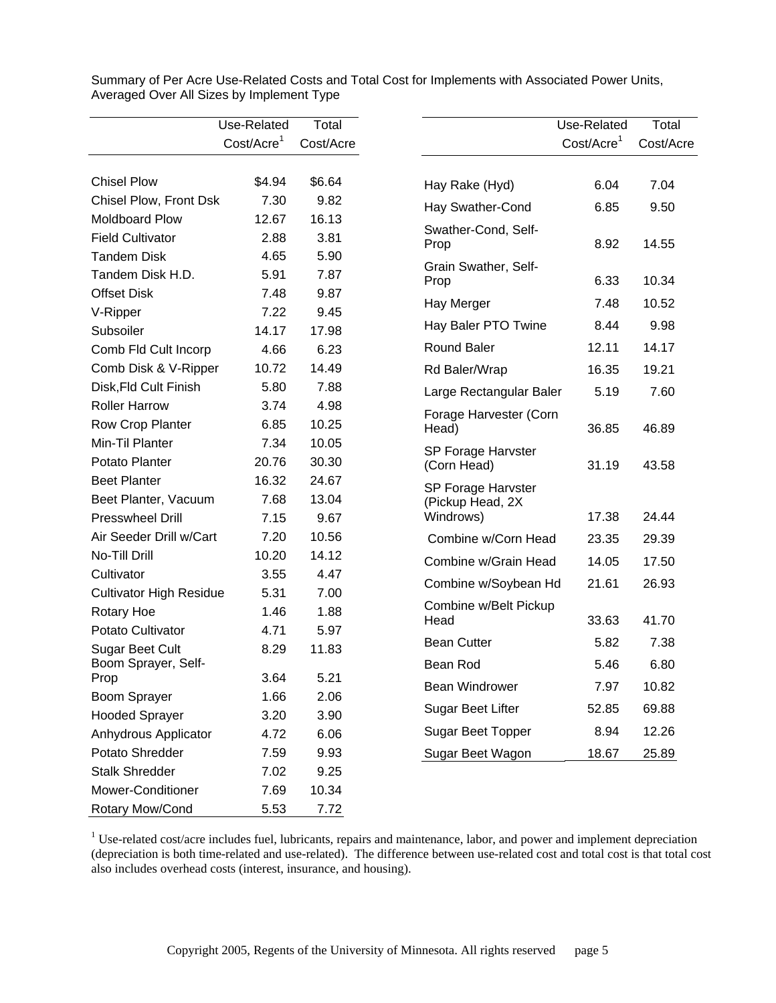|                                | Use-Related            | Total     |                               | Use-Related             | Total     |
|--------------------------------|------------------------|-----------|-------------------------------|-------------------------|-----------|
|                                | Cost/Acre <sup>1</sup> | Cost/Acre |                               | Cost/Accre <sup>1</sup> | Cost/Acre |
|                                |                        |           |                               |                         |           |
| <b>Chisel Plow</b>             | \$4.94                 | \$6.64    | Hay Rake (Hyd)                | 6.04                    | 7.04      |
| Chisel Plow, Front Dsk         | 7.30                   | 9.82      | Hay Swather-Cond              | 6.85                    | 9.50      |
| <b>Moldboard Plow</b>          | 12.67                  | 16.13     | Swather-Cond, Self-           |                         |           |
| <b>Field Cultivator</b>        | 2.88                   | 3.81      | Prop                          | 8.92                    | 14.55     |
| <b>Tandem Disk</b>             | 4.65                   | 5.90      | Grain Swather, Self-          |                         |           |
| Tandem Disk H.D.               | 5.91                   | 7.87      | Prop                          | 6.33                    | 10.34     |
| <b>Offset Disk</b>             | 7.48                   | 9.87      | Hay Merger                    | 7.48                    | 10.52     |
| V-Ripper                       | 7.22                   | 9.45      |                               |                         |           |
| Subsoiler                      | 14.17                  | 17.98     | Hay Baler PTO Twine           | 8.44                    | 9.98      |
| Comb Fld Cult Incorp           | 4.66                   | 6.23      | <b>Round Baler</b>            | 12.11                   | 14.17     |
| Comb Disk & V-Ripper           | 10.72                  | 14.49     | Rd Baler/Wrap                 | 16.35                   | 19.21     |
| Disk, Fld Cult Finish          | 5.80                   | 7.88      | Large Rectangular Baler       | 5.19                    | 7.60      |
| <b>Roller Harrow</b>           | 3.74                   | 4.98      | Forage Harvester (Corn        |                         |           |
| Row Crop Planter               | 6.85                   | 10.25     | Head)                         | 36.85                   | 46.89     |
| Min-Til Planter                | 7.34                   | 10.05     | SP Forage Harvster            |                         |           |
| Potato Planter                 | 20.76                  | 30.30     | (Corn Head)                   | 31.19                   | 43.58     |
| <b>Beet Planter</b>            | 16.32                  | 24.67     | SP Forage Harvster            |                         |           |
| Beet Planter, Vacuum           | 7.68                   | 13.04     | (Pickup Head, 2X              |                         |           |
| <b>Presswheel Drill</b>        | 7.15                   | 9.67      | Windrows)                     | 17.38                   | 24.44     |
| Air Seeder Drill w/Cart        | 7.20                   | 10.56     | Combine w/Corn Head           | 23.35                   | 29.39     |
| No-Till Drill                  | 10.20                  | 14.12     | Combine w/Grain Head          | 14.05                   | 17.50     |
| Cultivator                     | 3.55                   | 4.47      | Combine w/Soybean Hd          | 21.61                   | 26.93     |
| <b>Cultivator High Residue</b> | 5.31                   | 7.00      |                               |                         |           |
| Rotary Hoe                     | 1.46                   | 1.88      | Combine w/Belt Pickup<br>Head | 33.63                   | 41.70     |
| Potato Cultivator              | 4.71                   | 5.97      |                               |                         |           |
| Sugar Beet Cult                | 8.29                   | 11.83     | <b>Bean Cutter</b>            | 5.82                    | 7.38      |
| Boom Sprayer, Self-            |                        | 5.21      | Bean Rod                      | 5.46                    | 6.80      |
| Prop                           | 3.64                   |           | Bean Windrower                | 7.97                    | 10.82     |
| Boom Sprayer                   | 1.66                   | 2.06      | Sugar Beet Lifter             | 52.85                   | 69.88     |
| <b>Hooded Sprayer</b>          | 3.20                   | 3.90      | Sugar Beet Topper             | 8.94                    | 12.26     |
| Anhydrous Applicator           | 4.72                   | 6.06      |                               |                         |           |
| Potato Shredder                | 7.59                   | 9.93      | Sugar Beet Wagon              | 18.67                   | 25.89     |
| <b>Stalk Shredder</b>          | 7.02                   | 9.25      |                               |                         |           |
| Mower-Conditioner              | 7.69                   | 10.34     |                               |                         |           |
| Rotary Mow/Cond                | 5.53                   | 7.72      |                               |                         |           |

Summary of Per Acre Use-Related Costs and Total Cost for Implements with Associated Power Units, Averaged Over All Sizes by Implement Type

 $1$  Use-related cost/acre includes fuel, lubricants, repairs and maintenance, labor, and power and implement depreciation (depreciation is both time-related and use-related). The difference between use-related cost and total cost is that total cost also includes overhead costs (interest, insurance, and housing).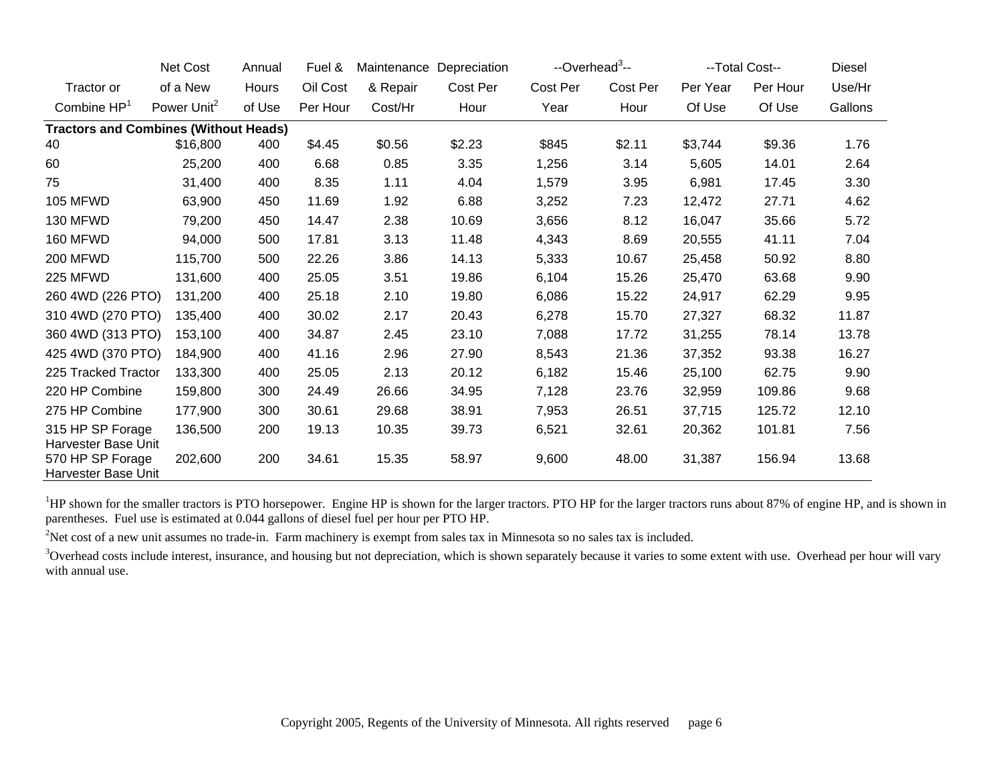|                                              | Net Cost                | Annual | Fuel &   | Maintenance | Depreciation | --Overhead <sup>3</sup> -- |          | --Total Cost-- | Diesel   |         |
|----------------------------------------------|-------------------------|--------|----------|-------------|--------------|----------------------------|----------|----------------|----------|---------|
| Tractor or                                   | of a New                | Hours  | Oil Cost | & Repair    | Cost Per     | Cost Per                   | Cost Per | Per Year       | Per Hour | Use/Hr  |
| Combine $HP1$                                | Power Unit <sup>2</sup> | of Use | Per Hour | Cost/Hr     | Hour         | Year                       | Hour     | Of Use         | Of Use   | Gallons |
| <b>Tractors and Combines (Without Heads)</b> |                         |        |          |             |              |                            |          |                |          |         |
| 40                                           | \$16,800                | 400    | \$4.45   | \$0.56      | \$2.23       | \$845                      | \$2.11   | \$3,744        | \$9.36   | 1.76    |
| 60                                           | 25,200                  | 400    | 6.68     | 0.85        | 3.35         | 1,256                      | 3.14     | 5,605          | 14.01    | 2.64    |
| 75                                           | 31,400                  | 400    | 8.35     | 1.11        | 4.04         | 1,579                      | 3.95     | 6,981          | 17.45    | 3.30    |
| <b>105 MFWD</b>                              | 63,900                  | 450    | 11.69    | 1.92        | 6.88         | 3,252                      | 7.23     | 12,472         | 27.71    | 4.62    |
| 130 MFWD                                     | 79,200                  | 450    | 14.47    | 2.38        | 10.69        | 3,656                      | 8.12     | 16,047         | 35.66    | 5.72    |
| 160 MFWD                                     | 94,000                  | 500    | 17.81    | 3.13        | 11.48        | 4,343                      | 8.69     | 20,555         | 41.11    | 7.04    |
| <b>200 MFWD</b>                              | 115,700                 | 500    | 22.26    | 3.86        | 14.13        | 5,333                      | 10.67    | 25,458         | 50.92    | 8.80    |
| 225 MFWD                                     | 131,600                 | 400    | 25.05    | 3.51        | 19.86        | 6,104                      | 15.26    | 25,470         | 63.68    | 9.90    |
| 260 4WD (226 PTO)                            | 131,200                 | 400    | 25.18    | 2.10        | 19.80        | 6,086                      | 15.22    | 24,917         | 62.29    | 9.95    |
| 310 4WD (270 PTO)                            | 135,400                 | 400    | 30.02    | 2.17        | 20.43        | 6,278                      | 15.70    | 27,327         | 68.32    | 11.87   |
| 360 4WD (313 PTO)                            | 153,100                 | 400    | 34.87    | 2.45        | 23.10        | 7,088                      | 17.72    | 31,255         | 78.14    | 13.78   |
| 425 4WD (370 PTO)                            | 184,900                 | 400    | 41.16    | 2.96        | 27.90        | 8,543                      | 21.36    | 37,352         | 93.38    | 16.27   |
| 225 Tracked Tractor                          | 133,300                 | 400    | 25.05    | 2.13        | 20.12        | 6,182                      | 15.46    | 25,100         | 62.75    | 9.90    |
| 220 HP Combine                               | 159,800                 | 300    | 24.49    | 26.66       | 34.95        | 7,128                      | 23.76    | 32,959         | 109.86   | 9.68    |
| 275 HP Combine                               | 177,900                 | 300    | 30.61    | 29.68       | 38.91        | 7,953                      | 26.51    | 37,715         | 125.72   | 12.10   |
| 315 HP SP Forage<br>Harvester Base Unit      | 136,500                 | 200    | 19.13    | 10.35       | 39.73        | 6,521                      | 32.61    | 20,362         | 101.81   | 7.56    |
| 570 HP SP Forage<br>Harvester Base Unit      | 202,600                 | 200    | 34.61    | 15.35       | 58.97        | 9,600                      | 48.00    | 31,387         | 156.94   | 13.68   |

<sup>1</sup>HP shown for the smaller tractors is PTO horsepower. Engine HP is shown for the larger tractors. PTO HP for the larger tractors runs about 87% of engine HP, and is shown in parentheses. Fuel use is estimated at 0.044 gallons of diesel fuel per hour per PTO HP.

<sup>2</sup>Net cost of a new unit assumes no trade-in. Farm machinery is exempt from sales tax in Minnesota so no sales tax is included.

<sup>3</sup>Overhead costs include interest, insurance, and housing but not depreciation, which is shown separately because it varies to some extent with use. Overhead per hour will vary with annual use.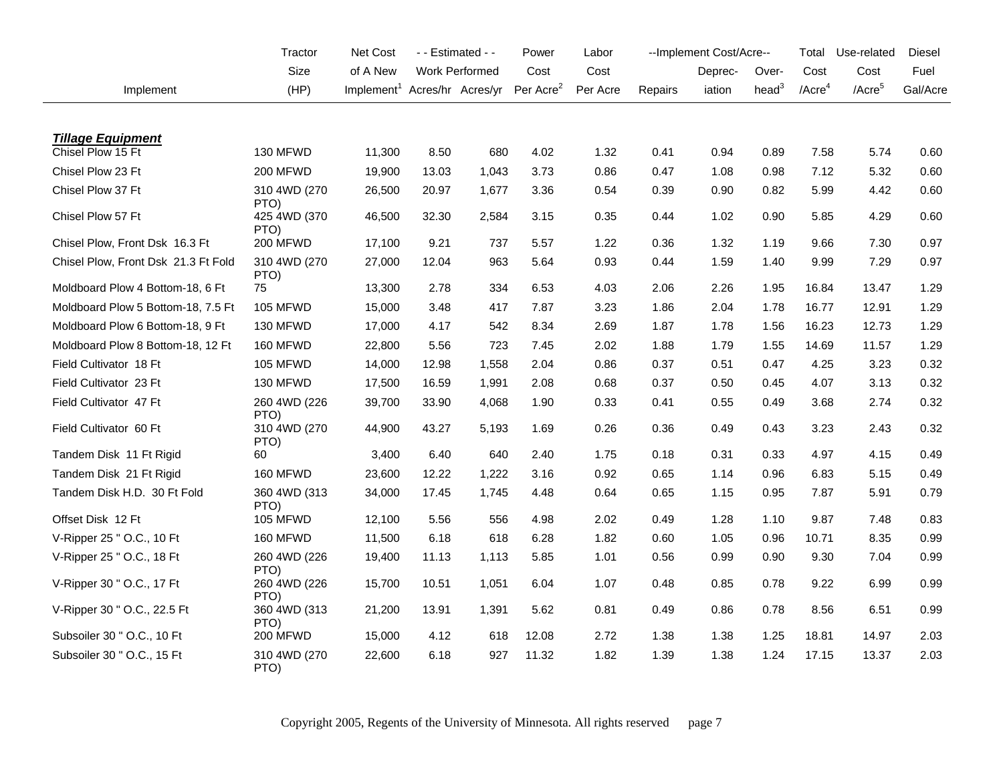|                                     | Tractor               | <b>Net Cost</b>                          |       | $-$ - Estimated $-$ | Power                 | Labor    |         | --Implement Cost/Acre-- |                   | Total                 | Use-related        | Diesel   |
|-------------------------------------|-----------------------|------------------------------------------|-------|---------------------|-----------------------|----------|---------|-------------------------|-------------------|-----------------------|--------------------|----------|
|                                     | Size                  | of A New                                 |       | Work Performed      | Cost                  | Cost     |         | Deprec-                 | Over-             | Cost                  | Cost               | Fuel     |
| Implement                           | (HP)                  | Implement <sup>1</sup> Acres/hr Acres/yr |       |                     | Per Acre <sup>2</sup> | Per Acre | Repairs | iation                  | head <sup>3</sup> | $/$ Acre <sup>4</sup> | /Acre <sup>5</sup> | Gal/Acre |
|                                     |                       |                                          |       |                     |                       |          |         |                         |                   |                       |                    |          |
| <b>Tillage Equipment</b>            |                       |                                          |       |                     |                       |          |         |                         |                   |                       |                    |          |
| Chisel Plow 15 Ft                   | 130 MFWD              | 11,300                                   | 8.50  | 680                 | 4.02                  | 1.32     | 0.41    | 0.94                    | 0.89              | 7.58                  | 5.74               | 0.60     |
| Chisel Plow 23 Ft                   | 200 MFWD              | 19,900                                   | 13.03 | 1,043               | 3.73                  | 0.86     | 0.47    | 1.08                    | 0.98              | 7.12                  | 5.32               | 0.60     |
| Chisel Plow 37 Ft                   | 310 4WD (270<br>PTO)  | 26,500                                   | 20.97 | 1,677               | 3.36                  | 0.54     | 0.39    | 0.90                    | 0.82              | 5.99                  | 4.42               | 0.60     |
| Chisel Plow 57 Ft                   | 425 4WD (370<br>PTO)  | 46,500                                   | 32.30 | 2,584               | 3.15                  | 0.35     | 0.44    | 1.02                    | 0.90              | 5.85                  | 4.29               | 0.60     |
| Chisel Plow, Front Dsk 16.3 Ft      | 200 MFWD              | 17,100                                   | 9.21  | 737                 | 5.57                  | 1.22     | 0.36    | 1.32                    | 1.19              | 9.66                  | 7.30               | 0.97     |
| Chisel Plow, Front Dsk 21.3 Ft Fold | 310 4WD (270<br>PTO)  | 27,000                                   | 12.04 | 963                 | 5.64                  | 0.93     | 0.44    | 1.59                    | 1.40              | 9.99                  | 7.29               | 0.97     |
| Moldboard Plow 4 Bottom-18, 6 Ft    | 75                    | 13,300                                   | 2.78  | 334                 | 6.53                  | 4.03     | 2.06    | 2.26                    | 1.95              | 16.84                 | 13.47              | 1.29     |
| Moldboard Plow 5 Bottom-18, 7.5 Ft  | <b>105 MFWD</b>       | 15,000                                   | 3.48  | 417                 | 7.87                  | 3.23     | 1.86    | 2.04                    | 1.78              | 16.77                 | 12.91              | 1.29     |
| Moldboard Plow 6 Bottom-18, 9 Ft    | 130 MFWD              | 17,000                                   | 4.17  | 542                 | 8.34                  | 2.69     | 1.87    | 1.78                    | 1.56              | 16.23                 | 12.73              | 1.29     |
| Moldboard Plow 8 Bottom-18, 12 Ft   | 160 MFWD              | 22,800                                   | 5.56  | 723                 | 7.45                  | 2.02     | 1.88    | 1.79                    | 1.55              | 14.69                 | 11.57              | 1.29     |
| Field Cultivator 18 Ft              | 105 MFWD              | 14,000                                   | 12.98 | 1,558               | 2.04                  | 0.86     | 0.37    | 0.51                    | 0.47              | 4.25                  | 3.23               | 0.32     |
| Field Cultivator 23 Ft              | 130 MFWD              | 17,500                                   | 16.59 | 1,991               | 2.08                  | 0.68     | 0.37    | 0.50                    | 0.45              | 4.07                  | 3.13               | 0.32     |
| Field Cultivator 47 Ft              | 260 4WD (226)<br>PTO) | 39,700                                   | 33.90 | 4,068               | 1.90                  | 0.33     | 0.41    | 0.55                    | 0.49              | 3.68                  | 2.74               | 0.32     |
| Field Cultivator 60 Ft              | 310 4WD (270<br>PTO)  | 44,900                                   | 43.27 | 5,193               | 1.69                  | 0.26     | 0.36    | 0.49                    | 0.43              | 3.23                  | 2.43               | 0.32     |
| Tandem Disk 11 Ft Rigid             | 60                    | 3,400                                    | 6.40  | 640                 | 2.40                  | 1.75     | 0.18    | 0.31                    | 0.33              | 4.97                  | 4.15               | 0.49     |
| Tandem Disk 21 Ft Rigid             | 160 MFWD              | 23,600                                   | 12.22 | 1,222               | 3.16                  | 0.92     | 0.65    | 1.14                    | 0.96              | 6.83                  | 5.15               | 0.49     |
| Tandem Disk H.D. 30 Ft Fold         | 360 4WD (313<br>PTO)  | 34,000                                   | 17.45 | 1,745               | 4.48                  | 0.64     | 0.65    | 1.15                    | 0.95              | 7.87                  | 5.91               | 0.79     |
| Offset Disk 12 Ft                   | <b>105 MFWD</b>       | 12,100                                   | 5.56  | 556                 | 4.98                  | 2.02     | 0.49    | 1.28                    | 1.10              | 9.87                  | 7.48               | 0.83     |
| V-Ripper 25 " O.C., 10 Ft           | 160 MFWD              | 11,500                                   | 6.18  | 618                 | 6.28                  | 1.82     | 0.60    | 1.05                    | 0.96              | 10.71                 | 8.35               | 0.99     |
| V-Ripper 25 " O.C., 18 Ft           | 260 4WD (226<br>PTO)  | 19,400                                   | 11.13 | 1,113               | 5.85                  | 1.01     | 0.56    | 0.99                    | 0.90              | 9.30                  | 7.04               | 0.99     |
| V-Ripper 30 " O.C., 17 Ft           | 260 4WD (226<br>PTO)  | 15,700                                   | 10.51 | 1,051               | 6.04                  | 1.07     | 0.48    | 0.85                    | 0.78              | 9.22                  | 6.99               | 0.99     |
| V-Ripper 30 " O.C., 22.5 Ft         | 360 4WD (313<br>PTO)  | 21,200                                   | 13.91 | 1,391               | 5.62                  | 0.81     | 0.49    | 0.86                    | 0.78              | 8.56                  | 6.51               | 0.99     |
| Subsoiler 30 " O.C., 10 Ft          | 200 MFWD              | 15,000                                   | 4.12  | 618                 | 12.08                 | 2.72     | 1.38    | 1.38                    | 1.25              | 18.81                 | 14.97              | 2.03     |
| Subsoiler 30 " O.C., 15 Ft          | 310 4WD (270<br>PTO)  | 22,600                                   | 6.18  | 927                 | 11.32                 | 1.82     | 1.39    | 1.38                    | 1.24              | 17.15                 | 13.37              | 2.03     |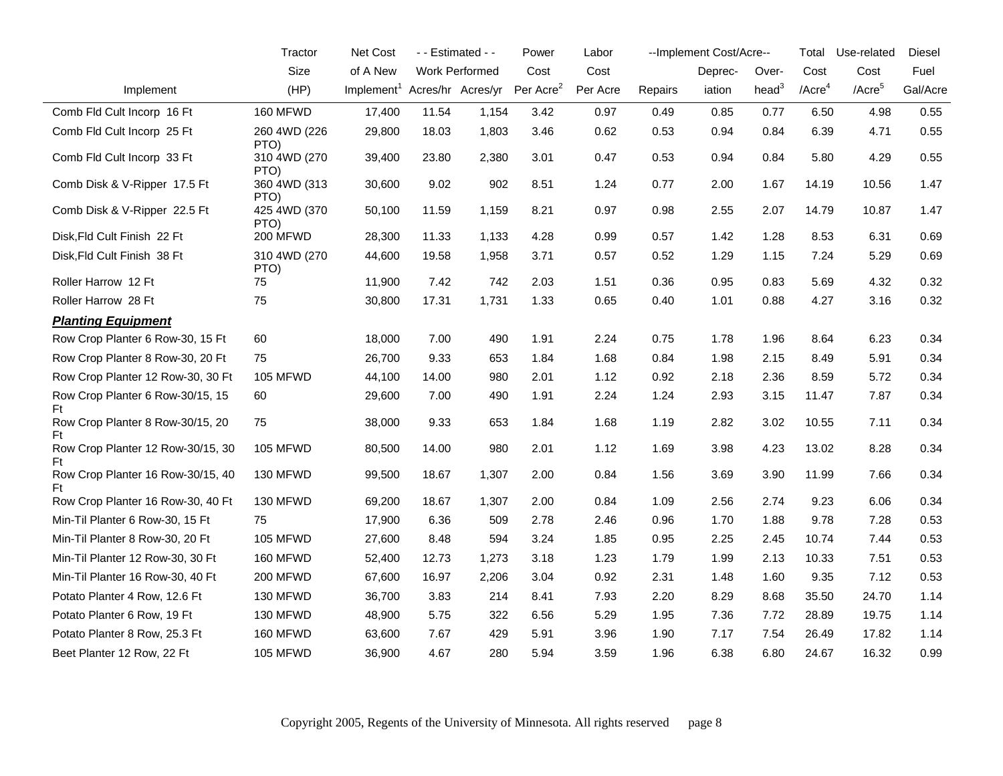|                                         | Tractor              | Net Cost                                 |       | - - Estimated - - | Power                 | Labor    |         | --Implement Cost/Acre-- |          | Total                 | Use-related        | Diesel   |
|-----------------------------------------|----------------------|------------------------------------------|-------|-------------------|-----------------------|----------|---------|-------------------------|----------|-----------------------|--------------------|----------|
|                                         | Size                 | of A New                                 |       | Work Performed    | Cost                  | Cost     |         | Deprec-                 | Over-    | Cost                  | Cost               | Fuel     |
| Implement                               | (HP)                 | Implement <sup>1</sup> Acres/hr Acres/yr |       |                   | Per Acre <sup>2</sup> | Per Acre | Repairs | iation                  | head $3$ | $/$ Acre <sup>4</sup> | /Acre <sup>5</sup> | Gal/Acre |
| Comb Fld Cult Incorp 16 Ft              | 160 MFWD             | 17,400                                   | 11.54 | 1,154             | 3.42                  | 0.97     | 0.49    | 0.85                    | 0.77     | 6.50                  | 4.98               | 0.55     |
| Comb Fld Cult Incorp 25 Ft              | 260 4WD (226<br>PTO) | 29,800                                   | 18.03 | 1,803             | 3.46                  | 0.62     | 0.53    | 0.94                    | 0.84     | 6.39                  | 4.71               | 0.55     |
| Comb Fld Cult Incorp 33 Ft              | 310 4WD (270<br>PTO) | 39,400                                   | 23.80 | 2,380             | 3.01                  | 0.47     | 0.53    | 0.94                    | 0.84     | 5.80                  | 4.29               | 0.55     |
| Comb Disk & V-Ripper 17.5 Ft            | 360 4WD (313<br>PTO) | 30,600                                   | 9.02  | 902               | 8.51                  | 1.24     | 0.77    | 2.00                    | 1.67     | 14.19                 | 10.56              | 1.47     |
| Comb Disk & V-Ripper 22.5 Ft            | 425 4WD (370<br>PTO) | 50,100                                   | 11.59 | 1,159             | 8.21                  | 0.97     | 0.98    | 2.55                    | 2.07     | 14.79                 | 10.87              | 1.47     |
| Disk, Fld Cult Finish 22 Ft             | 200 MFWD             | 28,300                                   | 11.33 | 1,133             | 4.28                  | 0.99     | 0.57    | 1.42                    | 1.28     | 8.53                  | 6.31               | 0.69     |
| Disk, Fld Cult Finish 38 Ft             | 310 4WD (270<br>PTO) | 44,600                                   | 19.58 | 1,958             | 3.71                  | 0.57     | 0.52    | 1.29                    | 1.15     | 7.24                  | 5.29               | 0.69     |
| Roller Harrow 12 Ft                     | 75                   | 11,900                                   | 7.42  | 742               | 2.03                  | 1.51     | 0.36    | 0.95                    | 0.83     | 5.69                  | 4.32               | 0.32     |
| Roller Harrow 28 Ft                     | 75                   | 30,800                                   | 17.31 | 1,731             | 1.33                  | 0.65     | 0.40    | 1.01                    | 0.88     | 4.27                  | 3.16               | 0.32     |
| <b>Planting Equipment</b>               |                      |                                          |       |                   |                       |          |         |                         |          |                       |                    |          |
| Row Crop Planter 6 Row-30, 15 Ft        | 60                   | 18,000                                   | 7.00  | 490               | 1.91                  | 2.24     | 0.75    | 1.78                    | 1.96     | 8.64                  | 6.23               | 0.34     |
| Row Crop Planter 8 Row-30, 20 Ft        | 75                   | 26,700                                   | 9.33  | 653               | 1.84                  | 1.68     | 0.84    | 1.98                    | 2.15     | 8.49                  | 5.91               | 0.34     |
| Row Crop Planter 12 Row-30, 30 Ft       | <b>105 MFWD</b>      | 44,100                                   | 14.00 | 980               | 2.01                  | 1.12     | 0.92    | 2.18                    | 2.36     | 8.59                  | 5.72               | 0.34     |
| Row Crop Planter 6 Row-30/15, 15<br>Ft  | 60                   | 29,600                                   | 7.00  | 490               | 1.91                  | 2.24     | 1.24    | 2.93                    | 3.15     | 11.47                 | 7.87               | 0.34     |
| Row Crop Planter 8 Row-30/15, 20<br>Ft  | 75                   | 38,000                                   | 9.33  | 653               | 1.84                  | 1.68     | 1.19    | 2.82                    | 3.02     | 10.55                 | 7.11               | 0.34     |
| Row Crop Planter 12 Row-30/15, 30<br>Ft | <b>105 MFWD</b>      | 80,500                                   | 14.00 | 980               | 2.01                  | 1.12     | 1.69    | 3.98                    | 4.23     | 13.02                 | 8.28               | 0.34     |
| Row Crop Planter 16 Row-30/15, 40<br>Ft | 130 MFWD             | 99,500                                   | 18.67 | 1,307             | 2.00                  | 0.84     | 1.56    | 3.69                    | 3.90     | 11.99                 | 7.66               | 0.34     |
| Row Crop Planter 16 Row-30, 40 Ft       | 130 MFWD             | 69,200                                   | 18.67 | 1,307             | 2.00                  | 0.84     | 1.09    | 2.56                    | 2.74     | 9.23                  | 6.06               | 0.34     |
| Min-Til Planter 6 Row-30, 15 Ft         | 75                   | 17,900                                   | 6.36  | 509               | 2.78                  | 2.46     | 0.96    | 1.70                    | 1.88     | 9.78                  | 7.28               | 0.53     |
| Min-Til Planter 8 Row-30, 20 Ft         | 105 MFWD             | 27,600                                   | 8.48  | 594               | 3.24                  | 1.85     | 0.95    | 2.25                    | 2.45     | 10.74                 | 7.44               | 0.53     |
| Min-Til Planter 12 Row-30, 30 Ft        | 160 MFWD             | 52,400                                   | 12.73 | 1,273             | 3.18                  | 1.23     | 1.79    | 1.99                    | 2.13     | 10.33                 | 7.51               | 0.53     |
| Min-Til Planter 16 Row-30, 40 Ft        | 200 MFWD             | 67,600                                   | 16.97 | 2,206             | 3.04                  | 0.92     | 2.31    | 1.48                    | 1.60     | 9.35                  | 7.12               | 0.53     |
| Potato Planter 4 Row, 12.6 Ft           | 130 MFWD             | 36,700                                   | 3.83  | 214               | 8.41                  | 7.93     | 2.20    | 8.29                    | 8.68     | 35.50                 | 24.70              | 1.14     |
| Potato Planter 6 Row, 19 Ft             | 130 MFWD             | 48,900                                   | 5.75  | 322               | 6.56                  | 5.29     | 1.95    | 7.36                    | 7.72     | 28.89                 | 19.75              | 1.14     |
| Potato Planter 8 Row, 25.3 Ft           | 160 MFWD             | 63,600                                   | 7.67  | 429               | 5.91                  | 3.96     | 1.90    | 7.17                    | 7.54     | 26.49                 | 17.82              | 1.14     |
| Beet Planter 12 Row, 22 Ft              | <b>105 MFWD</b>      | 36,900                                   | 4.67  | 280               | 5.94                  | 3.59     | 1.96    | 6.38                    | 6.80     | 24.67                 | 16.32              | 0.99     |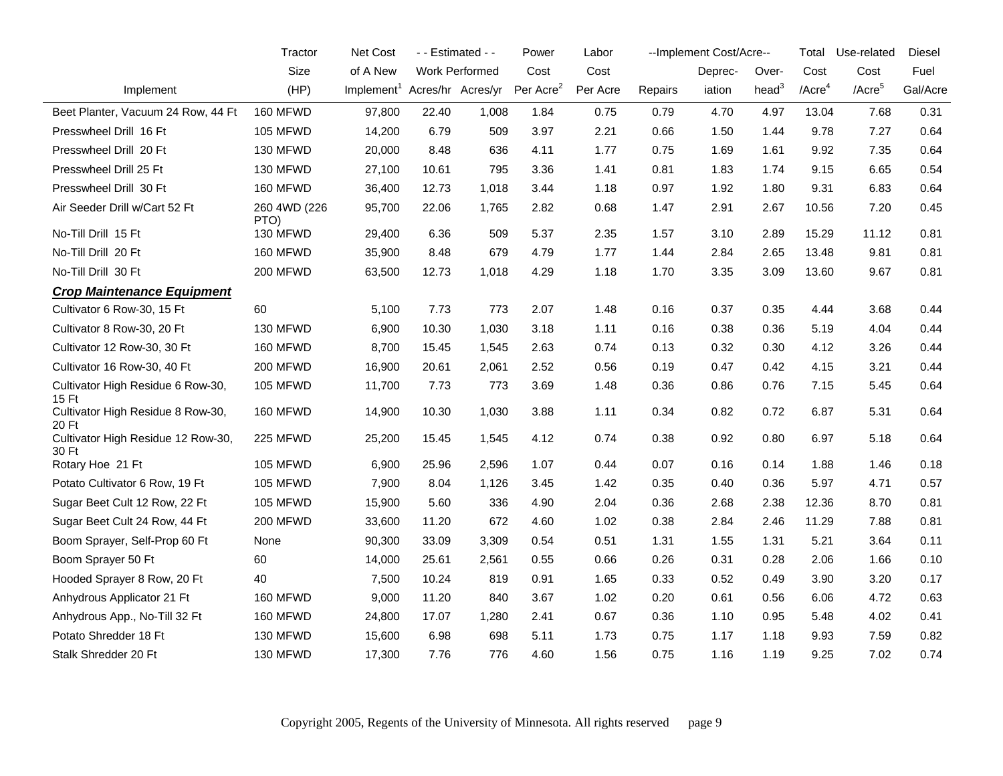|                                             | Tractor              | Net Cost                                 |       | - - Estimated - - | Power                 | Labor    |         | --Implement Cost/Acre-- |          | Total                 | Use-related | Diesel   |
|---------------------------------------------|----------------------|------------------------------------------|-------|-------------------|-----------------------|----------|---------|-------------------------|----------|-----------------------|-------------|----------|
|                                             | Size                 | of A New                                 |       | Work Performed    | Cost                  | Cost     |         | Deprec-                 | Over-    | Cost                  | Cost        | Fuel     |
| Implement                                   | (HP)                 | Implement <sup>1</sup> Acres/hr Acres/yr |       |                   | Per Acre <sup>2</sup> | Per Acre | Repairs | iation                  | head $3$ | $/$ Acre <sup>4</sup> | / $Accre5$  | Gal/Acre |
| Beet Planter, Vacuum 24 Row, 44 Ft          | 160 MFWD             | 97,800                                   | 22.40 | 1,008             | 1.84                  | 0.75     | 0.79    | 4.70                    | 4.97     | 13.04                 | 7.68        | 0.31     |
| Presswheel Drill 16 Ft                      | 105 MFWD             | 14,200                                   | 6.79  | 509               | 3.97                  | 2.21     | 0.66    | 1.50                    | 1.44     | 9.78                  | 7.27        | 0.64     |
| Presswheel Drill 20 Ft                      | 130 MFWD             | 20,000                                   | 8.48  | 636               | 4.11                  | 1.77     | 0.75    | 1.69                    | 1.61     | 9.92                  | 7.35        | 0.64     |
| Presswheel Drill 25 Ft                      | 130 MFWD             | 27,100                                   | 10.61 | 795               | 3.36                  | 1.41     | 0.81    | 1.83                    | 1.74     | 9.15                  | 6.65        | 0.54     |
| Presswheel Drill 30 Ft                      | 160 MFWD             | 36,400                                   | 12.73 | 1,018             | 3.44                  | 1.18     | 0.97    | 1.92                    | 1.80     | 9.31                  | 6.83        | 0.64     |
| Air Seeder Drill w/Cart 52 Ft               | 260 4WD (226<br>PTO) | 95,700                                   | 22.06 | 1,765             | 2.82                  | 0.68     | 1.47    | 2.91                    | 2.67     | 10.56                 | 7.20        | 0.45     |
| No-Till Drill 15 Ft                         | 130 MFWD             | 29,400                                   | 6.36  | 509               | 5.37                  | 2.35     | 1.57    | 3.10                    | 2.89     | 15.29                 | 11.12       | 0.81     |
| No-Till Drill 20 Ft                         | 160 MFWD             | 35,900                                   | 8.48  | 679               | 4.79                  | 1.77     | 1.44    | 2.84                    | 2.65     | 13.48                 | 9.81        | 0.81     |
| No-Till Drill 30 Ft                         | 200 MFWD             | 63,500                                   | 12.73 | 1,018             | 4.29                  | 1.18     | 1.70    | 3.35                    | 3.09     | 13.60                 | 9.67        | 0.81     |
| <b>Crop Maintenance Equipment</b>           |                      |                                          |       |                   |                       |          |         |                         |          |                       |             |          |
| Cultivator 6 Row-30, 15 Ft                  | 60                   | 5,100                                    | 7.73  | 773               | 2.07                  | 1.48     | 0.16    | 0.37                    | 0.35     | 4.44                  | 3.68        | 0.44     |
| Cultivator 8 Row-30, 20 Ft                  | 130 MFWD             | 6,900                                    | 10.30 | 1,030             | 3.18                  | 1.11     | 0.16    | 0.38                    | 0.36     | 5.19                  | 4.04        | 0.44     |
| Cultivator 12 Row-30, 30 Ft                 | 160 MFWD             | 8,700                                    | 15.45 | 1,545             | 2.63                  | 0.74     | 0.13    | 0.32                    | 0.30     | 4.12                  | 3.26        | 0.44     |
| Cultivator 16 Row-30, 40 Ft                 | 200 MFWD             | 16,900                                   | 20.61 | 2,061             | 2.52                  | 0.56     | 0.19    | 0.47                    | 0.42     | 4.15                  | 3.21        | 0.44     |
| Cultivator High Residue 6 Row-30,<br>15 Ft  | 105 MFWD             | 11,700                                   | 7.73  | 773               | 3.69                  | 1.48     | 0.36    | 0.86                    | 0.76     | 7.15                  | 5.45        | 0.64     |
| Cultivator High Residue 8 Row-30,<br>20 Ft  | 160 MFWD             | 14,900                                   | 10.30 | 1,030             | 3.88                  | 1.11     | 0.34    | 0.82                    | 0.72     | 6.87                  | 5.31        | 0.64     |
| Cultivator High Residue 12 Row-30,<br>30 Ft | 225 MFWD             | 25,200                                   | 15.45 | 1,545             | 4.12                  | 0.74     | 0.38    | 0.92                    | 0.80     | 6.97                  | 5.18        | 0.64     |
| Rotary Hoe 21 Ft                            | <b>105 MFWD</b>      | 6,900                                    | 25.96 | 2,596             | 1.07                  | 0.44     | 0.07    | 0.16                    | 0.14     | 1.88                  | 1.46        | 0.18     |
| Potato Cultivator 6 Row, 19 Ft              | <b>105 MFWD</b>      | 7,900                                    | 8.04  | 1,126             | 3.45                  | 1.42     | 0.35    | 0.40                    | 0.36     | 5.97                  | 4.71        | 0.57     |
| Sugar Beet Cult 12 Row, 22 Ft               | 105 MFWD             | 15,900                                   | 5.60  | 336               | 4.90                  | 2.04     | 0.36    | 2.68                    | 2.38     | 12.36                 | 8.70        | 0.81     |
| Sugar Beet Cult 24 Row, 44 Ft               | 200 MFWD             | 33,600                                   | 11.20 | 672               | 4.60                  | 1.02     | 0.38    | 2.84                    | 2.46     | 11.29                 | 7.88        | 0.81     |
| Boom Sprayer, Self-Prop 60 Ft               | None                 | 90,300                                   | 33.09 | 3,309             | 0.54                  | 0.51     | 1.31    | 1.55                    | 1.31     | 5.21                  | 3.64        | 0.11     |
| Boom Sprayer 50 Ft                          | 60                   | 14,000                                   | 25.61 | 2,561             | 0.55                  | 0.66     | 0.26    | 0.31                    | 0.28     | 2.06                  | 1.66        | 0.10     |
| Hooded Sprayer 8 Row, 20 Ft                 | 40                   | 7,500                                    | 10.24 | 819               | 0.91                  | 1.65     | 0.33    | 0.52                    | 0.49     | 3.90                  | 3.20        | 0.17     |
| Anhydrous Applicator 21 Ft                  | 160 MFWD             | 9,000                                    | 11.20 | 840               | 3.67                  | 1.02     | 0.20    | 0.61                    | 0.56     | 6.06                  | 4.72        | 0.63     |
| Anhydrous App., No-Till 32 Ft               | 160 MFWD             | 24,800                                   | 17.07 | 1,280             | 2.41                  | 0.67     | 0.36    | 1.10                    | 0.95     | 5.48                  | 4.02        | 0.41     |
| Potato Shredder 18 Ft                       | 130 MFWD             | 15,600                                   | 6.98  | 698               | 5.11                  | 1.73     | 0.75    | 1.17                    | 1.18     | 9.93                  | 7.59        | 0.82     |
| Stalk Shredder 20 Ft                        | 130 MFWD             | 17,300                                   | 7.76  | 776               | 4.60                  | 1.56     | 0.75    | 1.16                    | 1.19     | 9.25                  | 7.02        | 0.74     |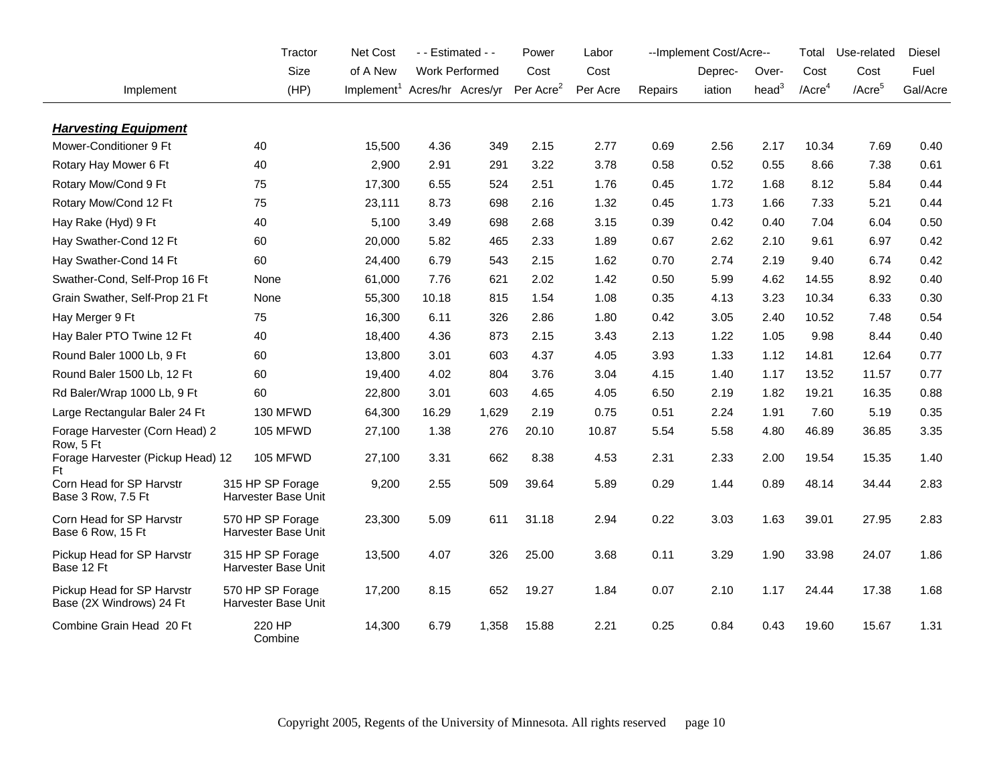|                                                        | Tractor                                 | Net Cost                                 | - - Estimated - - |                       | Power                 | Labor    |         | --Implement Cost/Acre-- |                   | Total                 | Use-related        | Diesel   |
|--------------------------------------------------------|-----------------------------------------|------------------------------------------|-------------------|-----------------------|-----------------------|----------|---------|-------------------------|-------------------|-----------------------|--------------------|----------|
|                                                        | Size                                    | of A New                                 |                   | <b>Work Performed</b> | Cost                  | Cost     |         | Deprec-                 | Over-             | Cost                  | Cost               | Fuel     |
| Implement                                              | (HP)                                    | Implement <sup>1</sup> Acres/hr Acres/yr |                   |                       | Per Acre <sup>2</sup> | Per Acre | Repairs | iation                  | head <sup>3</sup> | $/$ Acre <sup>4</sup> | /Acre <sup>5</sup> | Gal/Acre |
|                                                        |                                         |                                          |                   |                       |                       |          |         |                         |                   |                       |                    |          |
| <b>Harvesting Equipment</b>                            |                                         |                                          |                   |                       |                       |          |         |                         |                   |                       |                    |          |
| Mower-Conditioner 9 Ft                                 | 40                                      | 15,500                                   | 4.36              | 349                   | 2.15                  | 2.77     | 0.69    | 2.56                    | 2.17              | 10.34                 | 7.69               | 0.40     |
| Rotary Hay Mower 6 Ft                                  | 40                                      | 2,900                                    | 2.91              | 291                   | 3.22                  | 3.78     | 0.58    | 0.52                    | 0.55              | 8.66                  | 7.38               | 0.61     |
| Rotary Mow/Cond 9 Ft                                   | 75                                      | 17,300                                   | 6.55              | 524                   | 2.51                  | 1.76     | 0.45    | 1.72                    | 1.68              | 8.12                  | 5.84               | 0.44     |
| Rotary Mow/Cond 12 Ft                                  | 75                                      | 23,111                                   | 8.73              | 698                   | 2.16                  | 1.32     | 0.45    | 1.73                    | 1.66              | 7.33                  | 5.21               | 0.44     |
| Hay Rake (Hyd) 9 Ft                                    | 40                                      | 5,100                                    | 3.49              | 698                   | 2.68                  | 3.15     | 0.39    | 0.42                    | 0.40              | 7.04                  | 6.04               | 0.50     |
| Hay Swather-Cond 12 Ft                                 | 60                                      | 20,000                                   | 5.82              | 465                   | 2.33                  | 1.89     | 0.67    | 2.62                    | 2.10              | 9.61                  | 6.97               | 0.42     |
| Hay Swather-Cond 14 Ft                                 | 60                                      | 24,400                                   | 6.79              | 543                   | 2.15                  | 1.62     | 0.70    | 2.74                    | 2.19              | 9.40                  | 6.74               | 0.42     |
| Swather-Cond, Self-Prop 16 Ft                          | None                                    | 61,000                                   | 7.76              | 621                   | 2.02                  | 1.42     | 0.50    | 5.99                    | 4.62              | 14.55                 | 8.92               | 0.40     |
| Grain Swather, Self-Prop 21 Ft                         | None                                    | 55,300                                   | 10.18             | 815                   | 1.54                  | 1.08     | 0.35    | 4.13                    | 3.23              | 10.34                 | 6.33               | 0.30     |
| Hay Merger 9 Ft                                        | 75                                      | 16,300                                   | 6.11              | 326                   | 2.86                  | 1.80     | 0.42    | 3.05                    | 2.40              | 10.52                 | 7.48               | 0.54     |
| Hay Baler PTO Twine 12 Ft                              | 40                                      | 18,400                                   | 4.36              | 873                   | 2.15                  | 3.43     | 2.13    | 1.22                    | 1.05              | 9.98                  | 8.44               | 0.40     |
| Round Baler 1000 Lb, 9 Ft                              | 60                                      | 13,800                                   | 3.01              | 603                   | 4.37                  | 4.05     | 3.93    | 1.33                    | 1.12              | 14.81                 | 12.64              | 0.77     |
| Round Baler 1500 Lb, 12 Ft                             | 60                                      | 19,400                                   | 4.02              | 804                   | 3.76                  | 3.04     | 4.15    | 1.40                    | 1.17              | 13.52                 | 11.57              | 0.77     |
| Rd Baler/Wrap 1000 Lb, 9 Ft                            | 60                                      | 22,800                                   | 3.01              | 603                   | 4.65                  | 4.05     | 6.50    | 2.19                    | 1.82              | 19.21                 | 16.35              | 0.88     |
| Large Rectangular Baler 24 Ft                          | 130 MFWD                                | 64,300                                   | 16.29             | 1,629                 | 2.19                  | 0.75     | 0.51    | 2.24                    | 1.91              | 7.60                  | 5.19               | 0.35     |
| Forage Harvester (Corn Head) 2                         | <b>105 MFWD</b>                         | 27,100                                   | 1.38              | 276                   | 20.10                 | 10.87    | 5.54    | 5.58                    | 4.80              | 46.89                 | 36.85              | 3.35     |
| Row, 5 Ft<br>Forage Harvester (Pickup Head) 12<br>Ft   | 105 MFWD                                | 27,100                                   | 3.31              | 662                   | 8.38                  | 4.53     | 2.31    | 2.33                    | 2.00              | 19.54                 | 15.35              | 1.40     |
| Corn Head for SP Harvstr<br>Base 3 Row, 7.5 Ft         | 315 HP SP Forage<br>Harvester Base Unit | 9,200                                    | 2.55              | 509                   | 39.64                 | 5.89     | 0.29    | 1.44                    | 0.89              | 48.14                 | 34.44              | 2.83     |
| Corn Head for SP Harvstr<br>Base 6 Row, 15 Ft          | 570 HP SP Forage<br>Harvester Base Unit | 23,300                                   | 5.09              | 611                   | 31.18                 | 2.94     | 0.22    | 3.03                    | 1.63              | 39.01                 | 27.95              | 2.83     |
| Pickup Head for SP Harvstr<br>Base 12 Ft               | 315 HP SP Forage<br>Harvester Base Unit | 13,500                                   | 4.07              | 326                   | 25.00                 | 3.68     | 0.11    | 3.29                    | 1.90              | 33.98                 | 24.07              | 1.86     |
| Pickup Head for SP Harvstr<br>Base (2X Windrows) 24 Ft | 570 HP SP Forage<br>Harvester Base Unit | 17,200                                   | 8.15              | 652                   | 19.27                 | 1.84     | 0.07    | 2.10                    | 1.17              | 24.44                 | 17.38              | 1.68     |
| Combine Grain Head 20 Ft                               | 220 HP<br>Combine                       | 14,300                                   | 6.79              | 1,358                 | 15.88                 | 2.21     | 0.25    | 0.84                    | 0.43              | 19.60                 | 15.67              | 1.31     |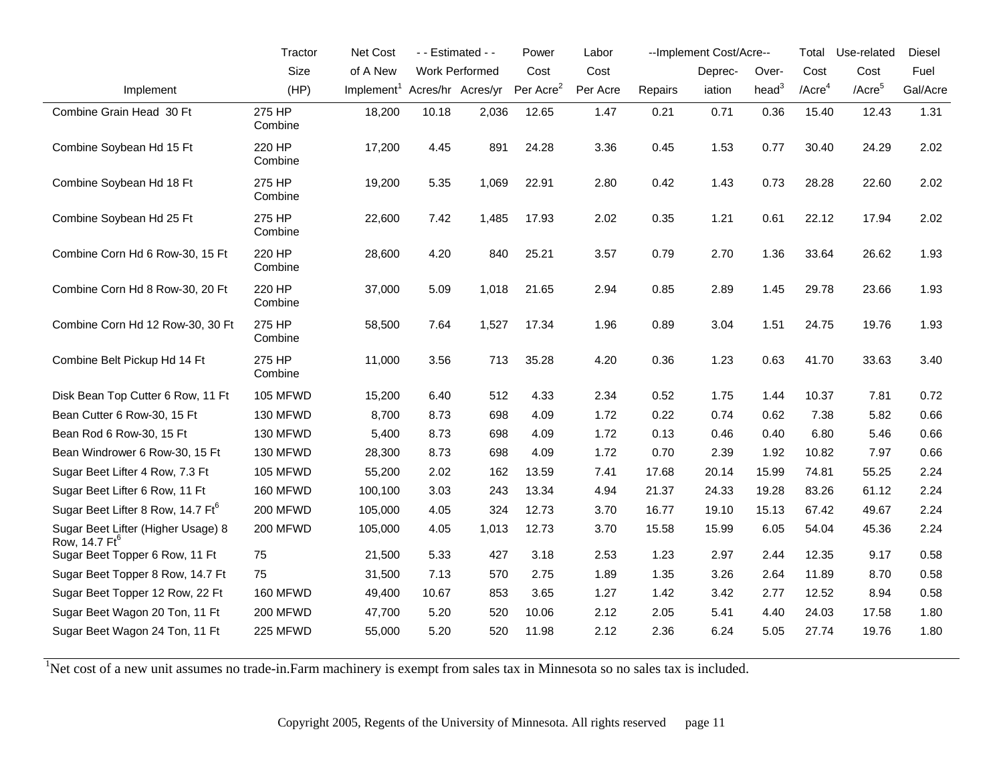|                                                                 | Tractor           | Net Cost                                 |       | - - Estimated - -     | Power                 | Labor    |         | --Implement Cost/Acre-- |                   | Total                 | Use-related        | Diesel   |
|-----------------------------------------------------------------|-------------------|------------------------------------------|-------|-----------------------|-----------------------|----------|---------|-------------------------|-------------------|-----------------------|--------------------|----------|
|                                                                 | Size              | of A New                                 |       | <b>Work Performed</b> | Cost                  | Cost     |         | Deprec-                 | Over-             | Cost                  | Cost               | Fuel     |
| Implement                                                       | (HP)              | Implement <sup>1</sup> Acres/hr Acres/yr |       |                       | Per Acre <sup>2</sup> | Per Acre | Repairs | iation                  | head <sup>3</sup> | $/$ Acre <sup>4</sup> | /Acre <sup>5</sup> | Gal/Acre |
| Combine Grain Head 30 Ft                                        | 275 HP<br>Combine | 18,200                                   | 10.18 | 2,036                 | 12.65                 | 1.47     | 0.21    | 0.71                    | 0.36              | 15.40                 | 12.43              | 1.31     |
| Combine Soybean Hd 15 Ft                                        | 220 HP<br>Combine | 17,200                                   | 4.45  | 891                   | 24.28                 | 3.36     | 0.45    | 1.53                    | 0.77              | 30.40                 | 24.29              | 2.02     |
| Combine Soybean Hd 18 Ft                                        | 275 HP<br>Combine | 19,200                                   | 5.35  | 1,069                 | 22.91                 | 2.80     | 0.42    | 1.43                    | 0.73              | 28.28                 | 22.60              | 2.02     |
| Combine Soybean Hd 25 Ft                                        | 275 HP<br>Combine | 22,600                                   | 7.42  | 1,485                 | 17.93                 | 2.02     | 0.35    | 1.21                    | 0.61              | 22.12                 | 17.94              | 2.02     |
| Combine Corn Hd 6 Row-30, 15 Ft                                 | 220 HP<br>Combine | 28,600                                   | 4.20  | 840                   | 25.21                 | 3.57     | 0.79    | 2.70                    | 1.36              | 33.64                 | 26.62              | 1.93     |
| Combine Corn Hd 8 Row-30, 20 Ft                                 | 220 HP<br>Combine | 37,000                                   | 5.09  | 1,018                 | 21.65                 | 2.94     | 0.85    | 2.89                    | 1.45              | 29.78                 | 23.66              | 1.93     |
| Combine Corn Hd 12 Row-30, 30 Ft                                | 275 HP<br>Combine | 58,500                                   | 7.64  | 1,527                 | 17.34                 | 1.96     | 0.89    | 3.04                    | 1.51              | 24.75                 | 19.76              | 1.93     |
| Combine Belt Pickup Hd 14 Ft                                    | 275 HP<br>Combine | 11,000                                   | 3.56  | 713                   | 35.28                 | 4.20     | 0.36    | 1.23                    | 0.63              | 41.70                 | 33.63              | 3.40     |
| Disk Bean Top Cutter 6 Row, 11 Ft                               | 105 MFWD          | 15,200                                   | 6.40  | 512                   | 4.33                  | 2.34     | 0.52    | 1.75                    | 1.44              | 10.37                 | 7.81               | 0.72     |
| Bean Cutter 6 Row-30, 15 Ft                                     | 130 MFWD          | 8,700                                    | 8.73  | 698                   | 4.09                  | 1.72     | 0.22    | 0.74                    | 0.62              | 7.38                  | 5.82               | 0.66     |
| Bean Rod 6 Row-30, 15 Ft                                        | 130 MFWD          | 5,400                                    | 8.73  | 698                   | 4.09                  | 1.72     | 0.13    | 0.46                    | 0.40              | 6.80                  | 5.46               | 0.66     |
| Bean Windrower 6 Row-30, 15 Ft                                  | 130 MFWD          | 28,300                                   | 8.73  | 698                   | 4.09                  | 1.72     | 0.70    | 2.39                    | 1.92              | 10.82                 | 7.97               | 0.66     |
| Sugar Beet Lifter 4 Row, 7.3 Ft                                 | 105 MFWD          | 55,200                                   | 2.02  | 162                   | 13.59                 | 7.41     | 17.68   | 20.14                   | 15.99             | 74.81                 | 55.25              | 2.24     |
| Sugar Beet Lifter 6 Row, 11 Ft                                  | 160 MFWD          | 100,100                                  | 3.03  | 243                   | 13.34                 | 4.94     | 21.37   | 24.33                   | 19.28             | 83.26                 | 61.12              | 2.24     |
| Sugar Beet Lifter 8 Row, 14.7 Ft <sup>6</sup>                   | 200 MFWD          | 105,000                                  | 4.05  | 324                   | 12.73                 | 3.70     | 16.77   | 19.10                   | 15.13             | 67.42                 | 49.67              | 2.24     |
| Sugar Beet Lifter (Higher Usage) 8<br>Row, 14.7 Ft <sup>6</sup> | 200 MFWD          | 105,000                                  | 4.05  | 1,013                 | 12.73                 | 3.70     | 15.58   | 15.99                   | 6.05              | 54.04                 | 45.36              | 2.24     |
| Sugar Beet Topper 6 Row, 11 Ft                                  | 75                | 21,500                                   | 5.33  | 427                   | 3.18                  | 2.53     | 1.23    | 2.97                    | 2.44              | 12.35                 | 9.17               | 0.58     |
| Sugar Beet Topper 8 Row, 14.7 Ft                                | 75                | 31,500                                   | 7.13  | 570                   | 2.75                  | 1.89     | 1.35    | 3.26                    | 2.64              | 11.89                 | 8.70               | 0.58     |
| Sugar Beet Topper 12 Row, 22 Ft                                 | 160 MFWD          | 49,400                                   | 10.67 | 853                   | 3.65                  | 1.27     | 1.42    | 3.42                    | 2.77              | 12.52                 | 8.94               | 0.58     |
| Sugar Beet Wagon 20 Ton, 11 Ft                                  | 200 MFWD          | 47,700                                   | 5.20  | 520                   | 10.06                 | 2.12     | 2.05    | 5.41                    | 4.40              | 24.03                 | 17.58              | 1.80     |
| Sugar Beet Wagon 24 Ton, 11 Ft                                  | 225 MFWD          | 55,000                                   | 5.20  | 520                   | 11.98                 | 2.12     | 2.36    | 6.24                    | 5.05              | 27.74                 | 19.76              | 1.80     |

<sup>1</sup>Net cost of a new unit assumes no trade-in.Farm machinery is exempt from sales tax in Minnesota so no sales tax is included.